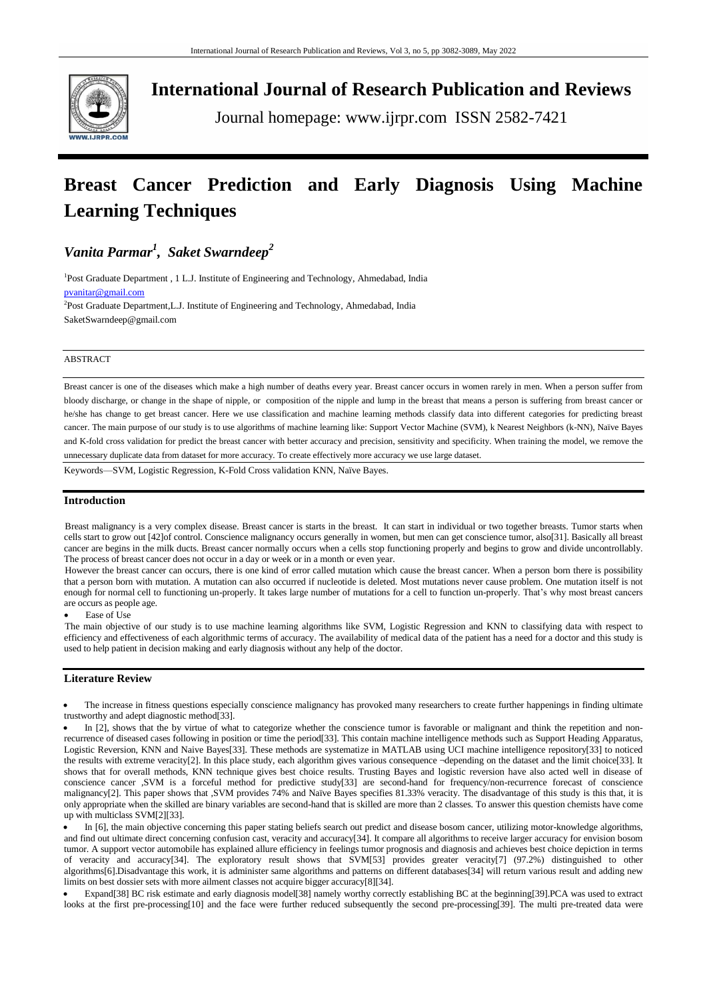

**International Journal of Research Publication and Reviews**

Journal homepage: www.ijrpr.com ISSN 2582-7421

# **Breast Cancer Prediction and Early Diagnosis Using Machine Learning Techniques**

# *Vanita Parmar<sup>1</sup> , Saket Swarndeep<sup>2</sup>*

<sup>1</sup>Post Graduate Department, 1 L.J. Institute of Engineering and Technology, Ahmedabad, India [pvanitar@gmail.com](mailto:pvanitar@gmail.com)

<sup>2</sup>Post Graduate Department, L.J. Institute of Engineering and Technology, Ahmedabad, India SaketSwarndeep@gmail.com

# ABSTRACT

Breast cancer is one of the diseases which make a high number of deaths every year. Breast cancer occurs in women rarely in men. When a person suffer from bloody discharge, or change in the shape of nipple, or composition of the nipple and lump in the breast that means a person is suffering from breast cancer or he/she has change to get breast cancer. Here we use classification and machine learning methods classify data into different categories for predicting breast cancer. The main purpose of our study is to use algorithms of machine learning like: Support Vector Machine (SVM), k Nearest Neighbors (k-NN), Naïve Bayes and K-fold cross validation for predict the breast cancer with better accuracy and precision, sensitivity and specificity. When training the model, we remove the unnecessary duplicate data from dataset for more accuracy. To create effectively more accuracy we use large dataset.

Keywords—SVM, Logistic Regression, K-Fold Cross validation KNN, Naïve Bayes.

# **Introduction**

Breast malignancy is a very complex disease. Breast cancer is starts in the breast. It can start in individual or two together breasts. Tumor starts when cells start to grow out [42]of control. Conscience malignancy occurs generally in women, but men can get conscience tumor, also[31]. Basically all breast cancer are begins in the milk ducts. Breast cancer normally occurs when a cells stop functioning properly and begins to grow and divide uncontrollably. The process of breast cancer does not occur in a day or week or in a month or even year.

However the breast cancer can occurs, there is one kind of error called mutation which cause the breast cancer. When a person born there is possibility that a person born with mutation. A mutation can also occurred if nucleotide is deleted. Most mutations never cause problem. One mutation itself is not enough for normal cell to functioning un-properly. It takes large number of mutations for a cell to function un-properly. That's why most breast cancers are occurs as people age.

Ease of Use

The main objective of our study is to use machine learning algorithms like SVM, Logistic Regression and KNN to classifying data with respect to efficiency and effectiveness of each algorithmic terms of accuracy. The availability of medical data of the patient has a need for a doctor and this study is used to help patient in decision making and early diagnosis without any help of the doctor.

# **Literature Review**

 The increase in fitness questions especially conscience malignancy has provoked many researchers to create further happenings in finding ultimate trustworthy and adept diagnostic method[33].

In [2], shows that the by virtue of what to categorize whether the conscience tumor is favorable or malignant and think the repetition and nonrecurrence of diseased cases following in position or time the period[33]. This contain machine intelligence methods such as Support Heading Apparatus, Logistic Reversion, KNN and Naive Bayes[33]. These methods are systematize in MATLAB using UCI machine intelligence repository[33] to noticed the results with extreme veracity[2]. In this place study, each algorithm gives various consequence ¬depending on the dataset and the limit choice[33]. It shows that for overall methods, KNN technique gives best choice results. Trusting Bayes and logistic reversion have also acted well in disease of conscience cancer ,SVM is a forceful method for predictive study[33] are second-hand for frequency/non-recurrence forecast of conscience malignancy[2]. This paper shows that ,SVM provides 74% and Naïve Bayes specifies 81.33% veracity. The disadvantage of this study is this that, it is only appropriate when the skilled are binary variables are second-hand that is skilled are more than 2 classes. To answer this question chemists have come up with multiclass SVM[2][33].

In [6], the main objective concerning this paper stating beliefs search out predict and disease bosom cancer, utilizing motor-knowledge algorithms. and find out ultimate direct concerning confusion cast, veracity and accuracy[34]. It compare all algorithms to receive larger accuracy for envision bosom tumor. A support vector automobile has explained allure efficiency in feelings tumor prognosis and diagnosis and achieves best choice depiction in terms of veracity and accuracy[34]. The exploratory result shows that SVM[53] provides greater veracity[7] (97.2%) distinguished to other algorithms[6].Disadvantage this work, it is administer same algorithms and patterns on different databases[34] will return various result and adding new limits on best dossier sets with more ailment classes not acquire bigger accuracy[8][34].

Expand[38] BC risk estimate and early diagnosis model[38] namely worthy correctly establishing BC at the beginning[39]. PCA was used to extract looks at the first pre-processing[10] and the face were further reduced subsequently the second pre-processing[39]. The multi pre-treated data were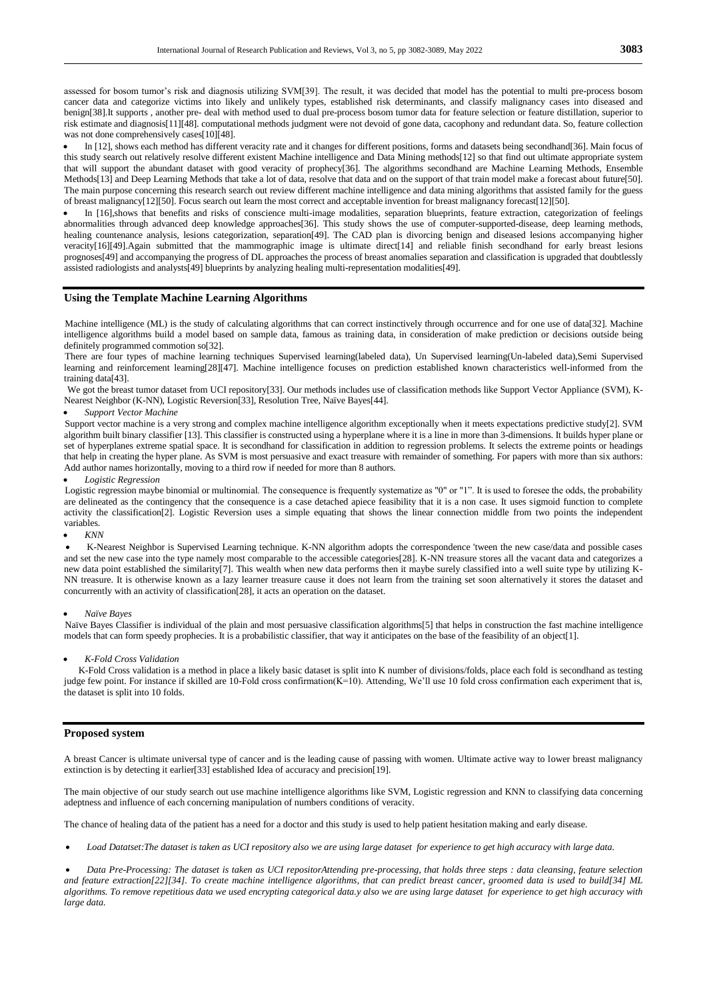assessed for bosom tumor's risk and diagnosis utilizing SVM[39]. The result, it was decided that model has the potential to multi pre-process bosom cancer data and categorize victims into likely and unlikely types, established risk determinants, and classify malignancy cases into diseased and benign[38].It supports , another pre- deal with method used to dual pre-process bosom tumor data for feature selection or feature distillation, superior to risk estimate and diagnosis[11][48]. computational methods judgment were not devoid of gone data, cacophony and redundant data. So, feature collection was not done comprehensively cases[10][48].

 In [12], shows each method has different veracity rate and it changes for different positions, forms and datasets being secondhand[36]. Main focus of this study search out relatively resolve different existent Machine intelligence and Data Mining methods[12] so that find out ultimate appropriate system that will support the abundant dataset with good veracity of prophecy[36]. The algorithms secondhand are Machine Learning Methods, Ensemble Methods[13] and Deep Learning Methods that take a lot of data, resolve that data and on the support of that train model make a forecast about future[50]. The main purpose concerning this research search out review different machine intelligence and data mining algorithms that assisted family for the guess of breast malignancy[12][50]. Focus search out learn the most correct and acceptable invention for breast malignancy forecast[12][50].

In [16], shows that benefits and risks of conscience multi-image modalities, separation blueprints, feature extraction, categorization of feelings abnormalities through advanced deep knowledge approaches[36]. This study shows the use of computer-supported-disease, deep learning methods, healing countenance analysis, lesions categorization, separation[49]. The CAD plan is divorcing benign and diseased lesions accompanying higher veracity[16][49].Again submitted that the mammographic image is ultimate direct[14] and reliable finish secondhand for early breast lesions prognoses[49] and accompanying the progress of DL approaches the process of breast anomalies separation and classification is upgraded that doubtlessly assisted radiologists and analysts[49] blueprints by analyzing healing multi-representation modalities[49].

# **Using the Template Machine Learning Algorithms**

Machine intelligence (ML) is the study of calculating algorithms that can correct instinctively through occurrence and for one use of data[32]. Machine intelligence algorithms build a model based on sample data, famous as training data, in consideration of make prediction or decisions outside being definitely programmed commotion so[32].

There are four types of machine learning techniques Supervised learning(labeled data), Un Supervised learning(Un-labeled data),Semi Supervised learning and reinforcement learning[28][47]. Machine intelligence focuses on prediction established known characteristics well-informed from the training data[43].

We got the breast tumor dataset from UCI repository[33]. Our methods includes use of classification methods like Support Vector Appliance (SVM), K-Nearest Neighbor (K-NN), Logistic Reversion[33], Resolution Tree, Naïve Bayes[44].

#### *Support Vector Machine*

Support vector machine is a very strong and complex machine intelligence algorithm exceptionally when it meets expectations predictive study[2]. SVM algorithm built binary classifier [13]. This classifier is constructed using a hyperplane where it is a line in more than 3-dimensions. It builds hyper plane or set of hyperplanes extreme spatial space. It is secondhand for classification in addition to regression problems. It selects the extreme points or headings that help in creating the hyper plane. As SVM is most persuasive and exact treasure with remainder of something. For papers with more than six authors: Add author names horizontally, moving to a third row if needed for more than 8 authors.

#### *Logistic Regression*

Logistic regression maybe binomial or multinomial. The consequence is frequently systematize as "0" or "1". It is used to foresee the odds, the probability are delineated as the contingency that the consequence is a case detached apiece feasibility that it is a non case. It uses sigmoid function to complete activity the classification[2]. Logistic Reversion uses a simple equating that shows the linear connection middle from two points the independent variables.

#### *KNN*

 K-Nearest Neighbor is Supervised Learning technique. K-NN algorithm adopts the correspondence 'tween the new case/data and possible cases and set the new case into the type namely most comparable to the accessible categories[28]. K-NN treasure stores all the vacant data and categorizes a new data point established the similarity[7]. This wealth when new data performs then it maybe surely classified into a well suite type by utilizing K-NN treasure. It is otherwise known as a lazy learner treasure cause it does not learn from the training set soon alternatively it stores the dataset and concurrently with an activity of classification[28], it acts an operation on the dataset.

#### *Naïve Bayes*

Naïve Bayes Classifier is individual of the plain and most persuasive classification algorithms[5] that helps in construction the fast machine intelligence models that can form speedy prophecies. It is a probabilistic classifier, that way it anticipates on the base of the feasibility of an object[1].

#### *K-Fold Cross Validation*

 K-Fold Cross validation is a method in place a likely basic dataset is split into K number of divisions/folds, place each fold is secondhand as testing judge few point. For instance if skilled are 10-Fold cross confirmation(K=10). Attending, We'll use 10 fold cross confirmation each experiment that is, the dataset is split into 10 folds.

# **Proposed system**

A breast Cancer is ultimate universal type of cancer and is the leading cause of passing with women. Ultimate active way to lower breast malignancy extinction is by detecting it earlier[33] established Idea of accuracy and precision[19].

The main objective of our study search out use machine intelligence algorithms like SVM, Logistic regression and KNN to classifying data concerning adeptness and influence of each concerning manipulation of numbers conditions of veracity.

The chance of healing data of the patient has a need for a doctor and this study is used to help patient hesitation making and early disease.

*Load Datatset:The dataset is taken as UCI repository also we are using large dataset for experience to get high accuracy with large data.*

 *Data Pre-Processing: The dataset is taken as UCI repositorAttending pre-processing, that holds three steps : data cleansing, feature selection and feature extraction[22][34]. To create machine intelligence algorithms, that can predict breast cancer, groomed data is used to build[34] ML algorithms. To remove repetitious data we used encrypting categorical data.y also we are using large dataset for experience to get high accuracy with large data.*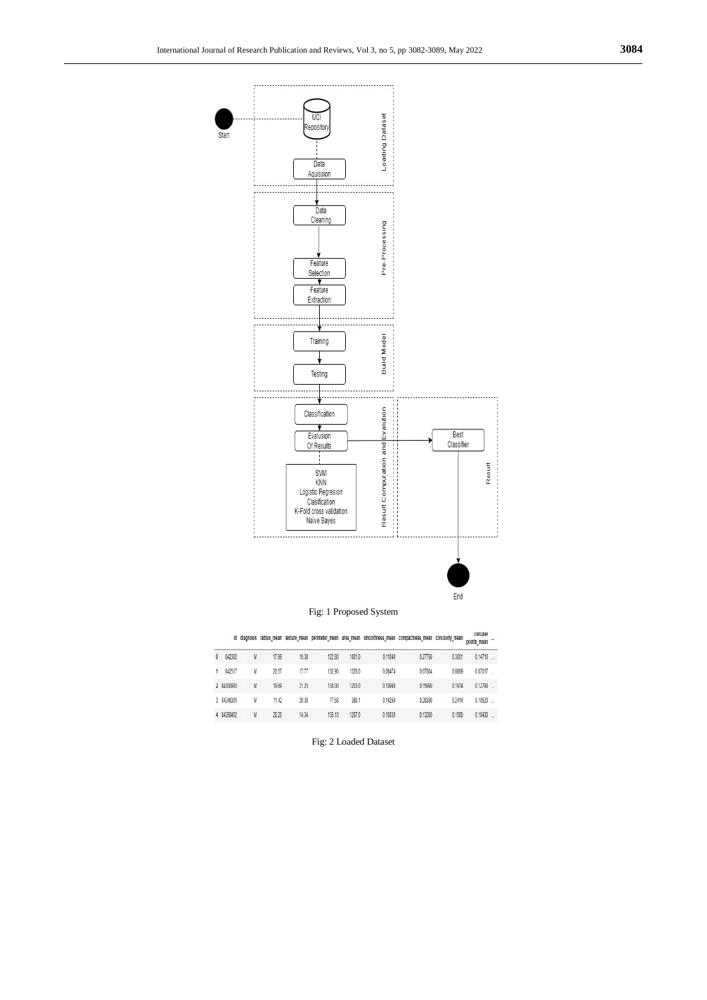

# Fig: 1 Proposed System

oncave<br>points mean texture\_mean perimeter\_mean area\_mean smoothness\_mean compactness\_mean concavity\_mean points\_mean

 $\overline{a}$ 

| 0 | 842302     | M | 17.99 | 10.38 | 122.80 | 1001.0 | 0.11840 | 0.27760 | 0.3001 | $0.14710$ |
|---|------------|---|-------|-------|--------|--------|---------|---------|--------|-----------|
|   | 842517     | M | 20.57 | 17.77 | 132.90 | 1326.0 | 0.08474 | 0.07864 | 0.0869 | 0.07017   |
|   | 2 84300903 | M | 19.69 | 21.25 | 130.00 | 1203.0 | 0.10960 | 0.15990 | 0.1974 | 0.12790   |
|   | 3 84348301 | M | 11.42 | 20.38 | 77.58  | 386.1  | 0.14250 | 0.28390 | 0.2414 | 0.10520   |
|   | 4 84358402 | M | 20.29 | 14.34 | 135.10 | 1297.0 | 0.10030 | 0.13280 | 0.1980 | 0.10430   |
|   |            |   |       |       |        |        |         |         |        |           |

Fig: 2 Loaded Dataset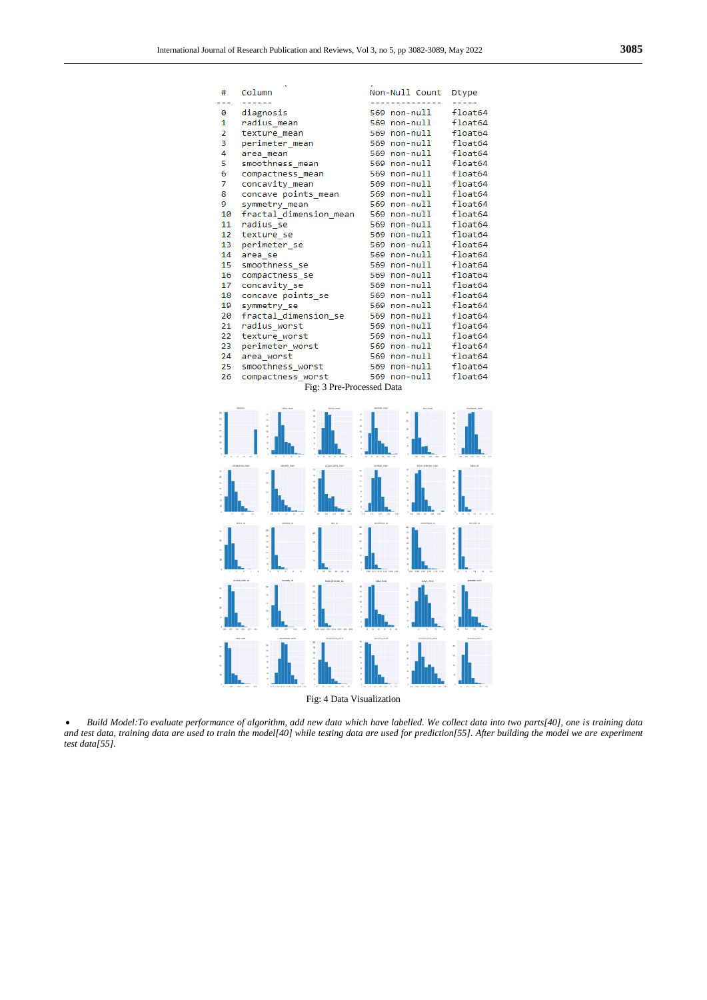| #                                                                                             | Column                 | Non-Null Count | Dtype   |  |  |  |  |  |  |  |
|-----------------------------------------------------------------------------------------------|------------------------|----------------|---------|--|--|--|--|--|--|--|
|                                                                                               | ------                 | -------------  | -----   |  |  |  |  |  |  |  |
| 0                                                                                             | diagnosis              | 569 non-null   | float64 |  |  |  |  |  |  |  |
| 1                                                                                             | radius mean            | 569 non-null   | float64 |  |  |  |  |  |  |  |
| 2                                                                                             | texture mean           | 569 non-null   | float64 |  |  |  |  |  |  |  |
| 3                                                                                             | perimeter mean         | 569 non-null   | float64 |  |  |  |  |  |  |  |
| 4                                                                                             | area mean              | 569 non-null   | float64 |  |  |  |  |  |  |  |
| 5                                                                                             | smoothness mean        | 569 non-null   | float64 |  |  |  |  |  |  |  |
| 6                                                                                             | compactness mean       | 569 non-null   | float64 |  |  |  |  |  |  |  |
| 7                                                                                             | concavity mean         | 569 non-null   | float64 |  |  |  |  |  |  |  |
| 8                                                                                             | concave points_mean    | 569 non-null   | float64 |  |  |  |  |  |  |  |
| 9                                                                                             | symmetry_mean          | 569 non-null   | float64 |  |  |  |  |  |  |  |
| 10                                                                                            | fractal_dimension_mean | 569 non-null   | float64 |  |  |  |  |  |  |  |
| 11                                                                                            | radius se              | 569 non-null   | float64 |  |  |  |  |  |  |  |
| 12                                                                                            | texture se             | 569 non-null   | float64 |  |  |  |  |  |  |  |
| 13                                                                                            | perimeter se           | 569 non-null   | float64 |  |  |  |  |  |  |  |
| 14                                                                                            | area se                | 569 non-null   | float64 |  |  |  |  |  |  |  |
| 15                                                                                            | smoothness se          | 569 non-null   | float64 |  |  |  |  |  |  |  |
| 16                                                                                            | compactness se         | 569 non-null   | float64 |  |  |  |  |  |  |  |
| 17                                                                                            | concavity se           | 569 non-null   | float64 |  |  |  |  |  |  |  |
| 18                                                                                            | concave points se      | 569 non-null   | float64 |  |  |  |  |  |  |  |
| 19                                                                                            | symmetry se            | 569 non-null   | float64 |  |  |  |  |  |  |  |
| 20                                                                                            | fractal dimension se   | 569 non-null   | float64 |  |  |  |  |  |  |  |
| 21                                                                                            | radius worst           | 569 non-null   | float64 |  |  |  |  |  |  |  |
| 22                                                                                            | texture worst          | 569 non-null   | float64 |  |  |  |  |  |  |  |
| 23                                                                                            | perimeter worst        | 569 non-null   | float64 |  |  |  |  |  |  |  |
| 24                                                                                            | area worst             | 569 non-null   | float64 |  |  |  |  |  |  |  |
| 25                                                                                            | smoothness worst       | 569 non-null   | float64 |  |  |  |  |  |  |  |
| 26                                                                                            | compactness worst      | 569 non-null   | float64 |  |  |  |  |  |  |  |
| Fig: 3 Pre-Processed Data                                                                     |                        |                |         |  |  |  |  |  |  |  |
|                                                                                               |                        |                |         |  |  |  |  |  |  |  |
| dagrasis<br>primater_mean<br>salva, man<br>ana, man<br>andres par<br>lookes <sub>e</sub> waan |                        |                |         |  |  |  |  |  |  |  |



Fig: 4 Data Visualization

• Build Model:To evaluate performance of algorithm, add new data which have labelled. We collect data into two parts[40], one is training data *and test data, training data are used to train the model[40] while testing data are used for prediction[55]. After building the model we are experiment test data[55].*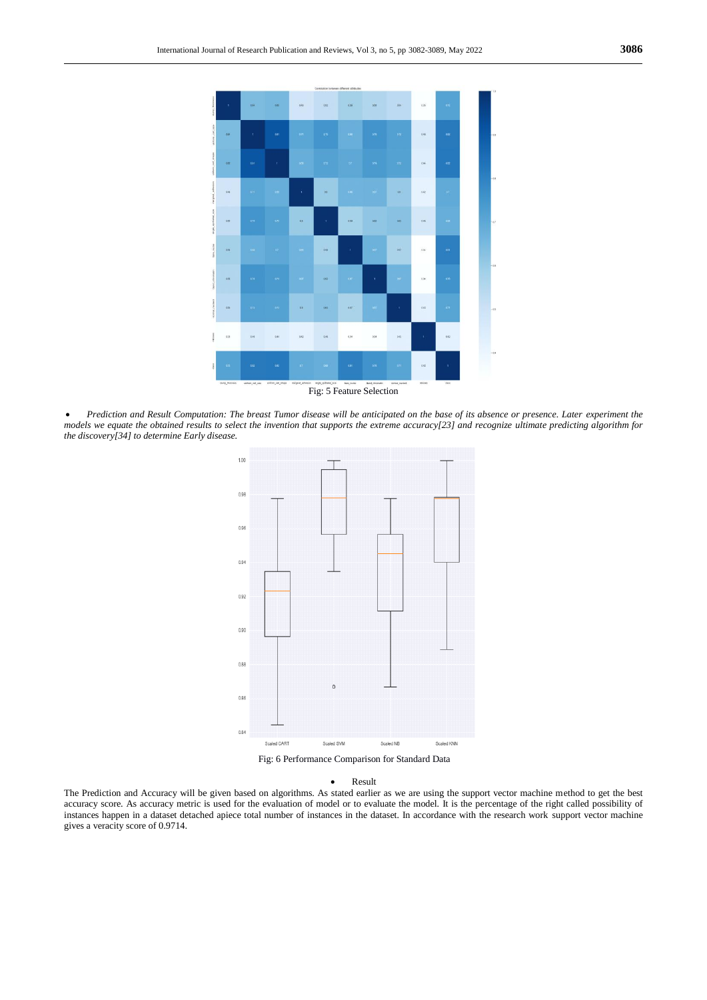

 *Prediction and Result Computation: The breast Tumor disease will be anticipated on the base of its absence or presence. Later experiment the models we equate the obtained results to select the invention that supports the extreme accuracy[23] and recognize ultimate predicting algorithm for the discovery[34] to determine Early disease.*



Fig: 6 Performance Comparison for Standard Data

## Result

The Prediction and Accuracy will be given based on algorithms. As stated earlier as we are using the support vector machine method to get the best accuracy score. As accuracy metric is used for the evaluation of model or to evaluate the model. It is the percentage of the right called possibility of instances happen in a dataset detached apiece total number of instances in the dataset. In accordance with the research work support vector machine gives a veracity score of 0.9714.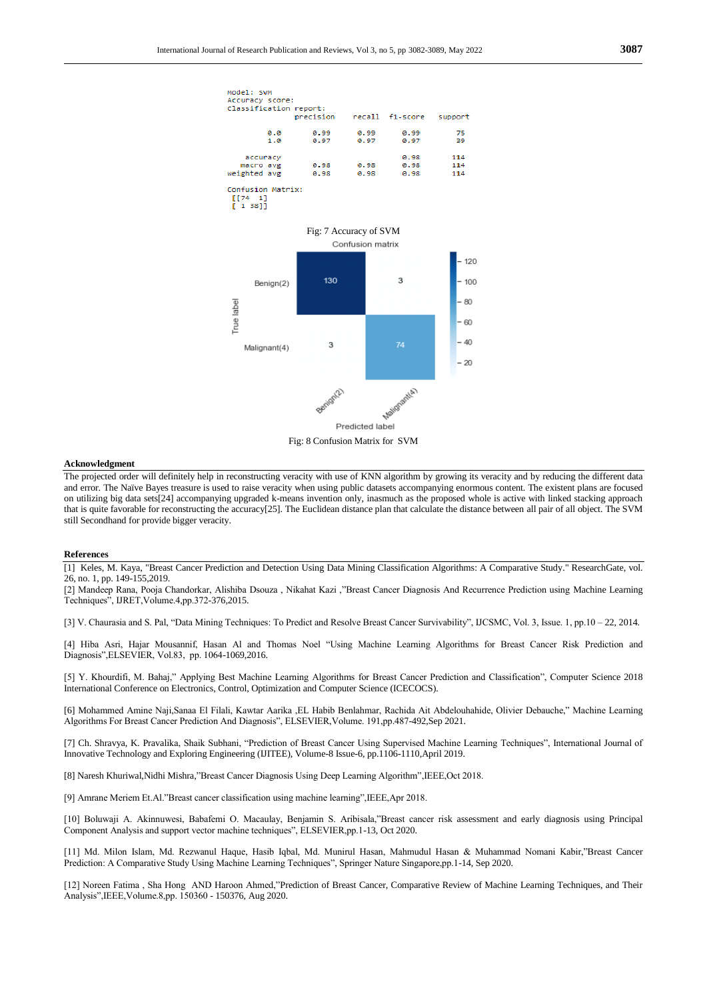

## **Acknowledgment**

The projected order will definitely help in reconstructing veracity with use of KNN algorithm by growing its veracity and by reducing the different data and error. The Naïve Bayes treasure is used to raise veracity when using public datasets accompanying enormous content. The existent plans are focused on utilizing big data sets[24] accompanying upgraded k-means invention only, inasmuch as the proposed whole is active with linked stacking approach that is quite favorable for reconstructing the accuracy[25]. The Euclidean distance plan that calculate the distance between all pair of all object. The SVM still Secondhand for provide bigger veracity.

#### **References**

[1] Keles, M. Kaya, "Breast Cancer Prediction and Detection Using Data Mining Classification Algorithms: A Comparative Study." ResearchGate, vol. 26, no. 1, pp. 149-155,2019.

[2] Mandeep Rana, Pooja Chandorkar, Alishiba Dsouza, Nikahat Kazi ,"Breast Cancer Diagnosis And Recurrence Prediction using Machine Learning Techniques‖, IJRET,Volume.4,pp.372-376,2015.

[3] V. Chaurasia and S. Pal, "Data Mining Techniques: To Predict and Resolve Breast Cancer Survivability", IJCSMC, Vol. 3, Issue. 1, pp.10 – 22, 2014.

[4] Hiba Asri, Hajar Mousannif, Hasan Al and Thomas Noel "Using Machine Learning Algorithms for Breast Cancer Risk Prediction and Diagnosis", ELSEVIER, Vol.83, pp. 1064-1069, 2016.

[5] Y. Khourdifi, M. Bahaj," Applying Best Machine Learning Algorithms for Breast Cancer Prediction and Classification", Computer Science 2018 International Conference on Electronics, Control, Optimization and Computer Science (ICECOCS).

[6] Mohammed Amine Naji,Sanaa El Filali, Kawtar Aarika ,EL Habib Benlahmar, Rachida Ait Abdelouhahide, Olivier Debauche," Machine Learning Algorithms For Breast Cancer Prediction And Diagnosis", ELSEVIER, Volume. 191, pp.487-492, Sep 2021.

[7] Ch. Shravya, K. Pravalika, Shaik Subhani, "Prediction of Breast Cancer Using Supervised Machine Learning Techniques", International Journal of Innovative Technology and Exploring Engineering (IJITEE), Volume-8 Issue-6, pp.1106-1110,April 2019.

[8] Naresh Khuriwal,Nidhi Mishra, "Breast Cancer Diagnosis Using Deep Learning Algorithm",IEEE,Oct 2018.

[9] Amrane Meriem Et.Al."Breast cancer classification using machine learning",IEEE,Apr 2018.

[10] Boluwaji A. Akinnuwesi, Babafemi O. Macaulay, Benjamin S. Aribisala,"Breast cancer risk assessment and early diagnosis using Principal Component Analysis and support vector machine techniques", ELSEVIER, pp. 1-13, Oct 2020.

[11] Md. Milon Islam, Md. Rezwanul Haque, Hasib Iqbal, Md. Munirul Hasan, Mahmudul Hasan & Muhammad Nomani Kabir,"Breast Cancer Prediction: A Comparative Study Using Machine Learning Techniques", Springer Nature Singapore,pp.1-14, Sep 2020.

[12] Noreen Fatima, Sha Hong AND Haroon Ahmed,"Prediction of Breast Cancer, Comparative Review of Machine Learning Techniques, and Their Analysis", IEEE, Volume.8,pp. 150360 - 150376, Aug 2020.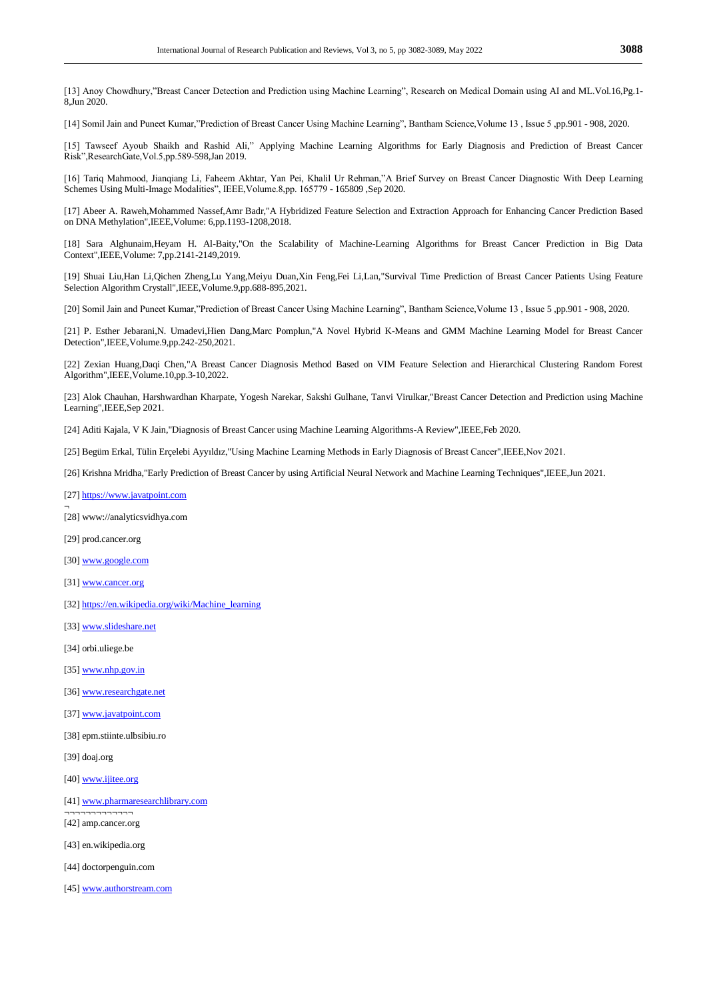[13] Anoy Chowdhury,"Breast Cancer Detection and Prediction using Machine Learning", Research on Medical Domain using AI and ML.Vol.16,Pg.1-8,Jun 2020.

[14] Somil Jain and Puneet Kumar,"Prediction of Breast Cancer Using Machine Learning", Bantham Science,Volume 13, Issue 5,pp.901 - 908, 2020.

[15] Tawseef Ayoub Shaikh and Rashid Ali," Applying Machine Learning Algorithms for Early Diagnosis and Prediction of Breast Cancer Risk",ResearchGate,Vol.5,pp.589-598,Jan 2019.

[16] Tariq Mahmood, Jianqiang Li, Faheem Akhtar, Yan Pei, Khalil Ur Rehman,"A Brief Survey on Breast Cancer Diagnostic With Deep Learning Schemes Using Multi-Image Modalities", IEEE, Volume.8,pp. 165779 - 165809, Sep 2020.

[17] Abeer A. Raweh,Mohammed Nassef,Amr Badr,"A Hybridized Feature Selection and Extraction Approach for Enhancing Cancer Prediction Based on DNA Methylation",IEEE,Volume: 6,pp.1193-1208,2018.

[18] Sara Alghunaim,Heyam H. Al-Baity,"On the Scalability of Machine-Learning Algorithms for Breast Cancer Prediction in Big Data Context",IEEE,Volume: 7,pp.2141-2149,2019.

[19] Shuai Liu,Han Li,Qichen Zheng,Lu Yang,Meiyu Duan,Xin Feng,Fei Li,Lan,"Survival Time Prediction of Breast Cancer Patients Using Feature Selection Algorithm Crystall",IEEE,Volume.9,pp.688-895,2021.

[20] Somil Jain and Puneet Kumar,"Prediction of Breast Cancer Using Machine Learning", Bantham Science,Volume 13, Issue 5,pp.901 - 908, 2020.

[21] P. Esther Jebarani,N. Umadevi,Hien Dang,Marc Pomplun,"A Novel Hybrid K-Means and GMM Machine Learning Model for Breast Cancer Detection",IEEE,Volume.9,pp.242-250,2021.

[22] Zexian Huang,Daqi Chen,"A Breast Cancer Diagnosis Method Based on VIM Feature Selection and Hierarchical Clustering Random Forest Algorithm",IEEE,Volume.10,pp.3-10,2022.

[23] Alok Chauhan, Harshwardhan Kharpate, Yogesh Narekar, Sakshi Gulhane, Tanvi Virulkar,"Breast Cancer Detection and Prediction using Machine Learning",IEEE,Sep 2021.

[24] Aditi Kajala, V K Jain,"Diagnosis of Breast Cancer using Machine Learning Algorithms-A Review",IEEE,Feb 2020.

[25] Begüm Erkal, Tülin Erçelebi Ayyıldız,"Using Machine Learning Methods in Early Diagnosis of Breast Cancer",IEEE,Nov 2021.

[26] Krishna Mridha,"Early Prediction of Breast Cancer by using Artificial Neural Network and Machine Learning Techniques",IEEE,Jun 2021.

[27[\] https://www.javatpoint.com](https://www.javatpoint.com/)

[28] www://analyticsvidhya.com

[29] prod.cancer.org

¬

[30[\] www.google.com](www.google.com)

[31[\] www.cancer.org](www.cancer.org)

[32[\] https://en.wikipedia.org/wiki/Machine\\_learning](https://en.wikipedia.org/wiki/Machine_learning)

[33[\] www.slideshare.net](www.slideshare.net)

[34] orbi.uliege.be

[35[\] www.nhp.gov.in](www.nhp.gov.in)

[36[\] www.researchgate.net](www.researchgate.net)

[37[\] www.javatpoint.com](www.javatpoint.com)

[38] epm.stiinte.ulbsibiu.ro

[39] doaj.org

[40[\] www.ijitee.org](www.ijitee.org)

[41[\] www.pharmaresearchlibrary.com](www.pharmaresearchlibrary.com)

 $\overline{\phantom{a}}$ [42] amp.cancer.org

[43] en.wikipedia.org

[44] doctorpenguin.com

[45[\] www.authorstream.com](www.authorstream.com)